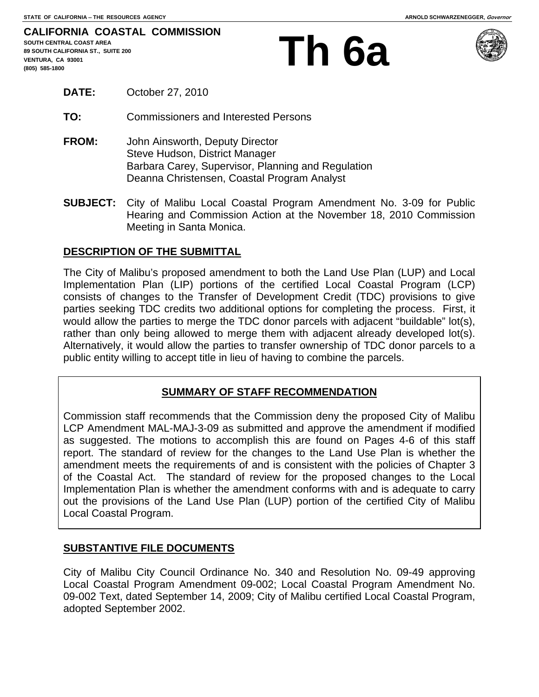# **, CA 93001 Th 6a**



- **DATE:** October 27, 2010
- **TO:** Commissioners and Interested Persons
- **FROM:** John Ainsworth, Deputy Director Steve Hudson, District Manager Barbara Carey, Supervisor, Planning and Regulation Deanna Christensen, Coastal Program Analyst
- **SUBJECT:** City of Malibu Local Coastal Program Amendment No. 3-09 for Public Hearing and Commission Action at the November 18, 2010 Commission Meeting in Santa Monica.

## **DESCRIPTION OF THE SUBMITTAL**

The City of Malibu's proposed amendment to both the Land Use Plan (LUP) and Local Implementation Plan (LIP) portions of the certified Local Coastal Program (LCP) consists of changes to the Transfer of Development Credit (TDC) provisions to give parties seeking TDC credits two additional options for completing the process. First, it would allow the parties to merge the TDC donor parcels with adjacent "buildable" lot(s), rather than only being allowed to merge them with adjacent already developed lot(s). Alternatively, it would allow the parties to transfer ownership of TDC donor parcels to a public entity willing to accept title in lieu of having to combine the parcels.

# **SUMMARY OF STAFF RECOMMENDATION**

Commission staff recommends that the Commission deny the proposed City of Malibu LCP Amendment MAL-MAJ-3-09 as submitted and approve the amendment if modified as suggested. The motions to accomplish this are found on Pages 4-6 of this staff report. The standard of review for the changes to the Land Use Plan is whether the amendment meets the requirements of and is consistent with the policies of Chapter 3 of the Coastal Act. The standard of review for the proposed changes to the Local Implementation Plan is whether the amendment conforms with and is adequate to carry out the provisions of the Land Use Plan (LUP) portion of the certified City of Malibu Local Coastal Program.

# **SUBSTANTIVE FILE DOCUMENTS**

City of Malibu City Council Ordinance No. 340 and Resolution No. 09-49 approving Local Coastal Program Amendment 09-002; Local Coastal Program Amendment No. 09-002 Text, dated September 14, 2009; City of Malibu certified Local Coastal Program, adopted September 2002.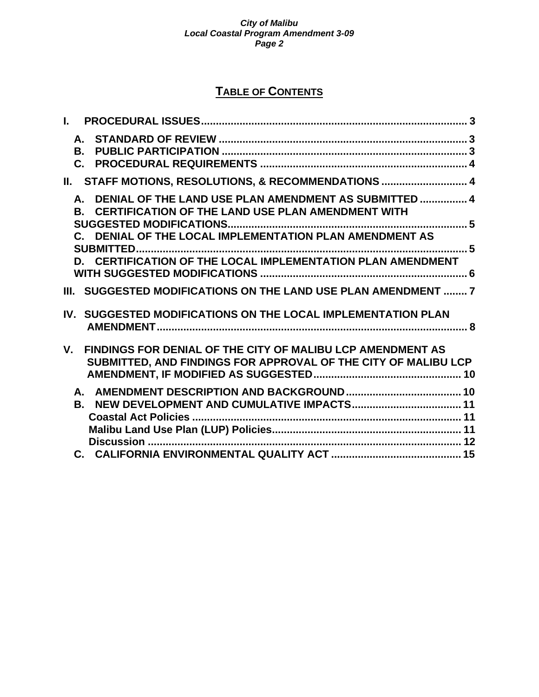# **TABLE OF CONTENTS**

| L.        |                                                                                                                              |  |
|-----------|------------------------------------------------------------------------------------------------------------------------------|--|
|           |                                                                                                                              |  |
|           |                                                                                                                              |  |
|           | II. STAFF MOTIONS, RESOLUTIONS, & RECOMMENDATIONS  4                                                                         |  |
| <b>B.</b> | A. DENIAL OF THE LAND USE PLAN AMENDMENT AS SUBMITTED  4<br><b>CERTIFICATION OF THE LAND USE PLAN AMENDMENT WITH</b>         |  |
|           | C. DENIAL OF THE LOCAL IMPLEMENTATION PLAN AMENDMENT AS                                                                      |  |
|           | D. CERTIFICATION OF THE LOCAL IMPLEMENTATION PLAN AMENDMENT                                                                  |  |
|           | III. SUGGESTED MODIFICATIONS ON THE LAND USE PLAN AMENDMENT  7                                                               |  |
|           | IV. SUGGESTED MODIFICATIONS ON THE LOCAL IMPLEMENTATION PLAN                                                                 |  |
| $V_{-}$   | FINDINGS FOR DENIAL OF THE CITY OF MALIBU LCP AMENDMENT AS<br>SUBMITTED, AND FINDINGS FOR APPROVAL OF THE CITY OF MALIBU LCP |  |
| В.        |                                                                                                                              |  |
|           |                                                                                                                              |  |
|           |                                                                                                                              |  |
|           |                                                                                                                              |  |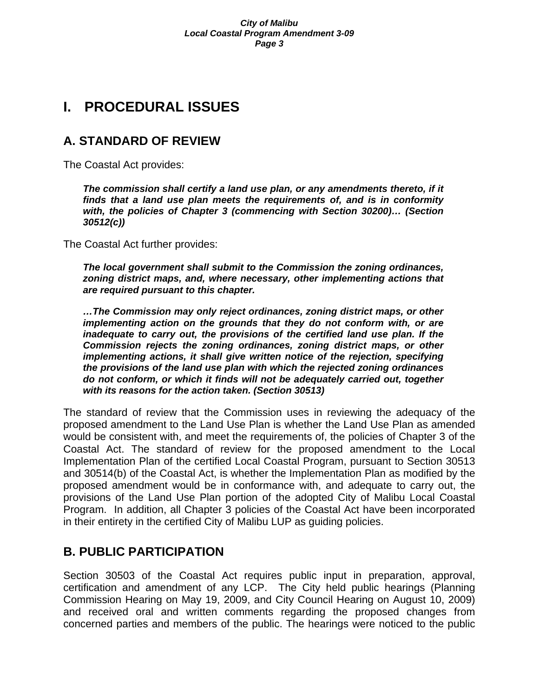# **I. PROCEDURAL ISSUES**

# **A. STANDARD OF REVIEW**

The Coastal Act provides:

The commission shall certify a land use plan, or any amendments thereto, if it *finds that a land use plan meets the requirements of, and is in conformity with, the policies of Chapter 3 (commencing with Section 30200)… (Section 30512(c))* 

The Coastal Act further provides:

*The local government shall submit to the Commission the zoning ordinances, zoning district maps, and, where necessary, other implementing actions that are required pursuant to this chapter.* 

*…The Commission may only reject ordinances, zoning district maps, or other implementing action on the grounds that they do not conform with, or are inadequate to carry out, the provisions of the certified land use plan. If the Commission rejects the zoning ordinances, zoning district maps, or other implementing actions, it shall give written notice of the rejection, specifying the provisions of the land use plan with which the rejected zoning ordinances do not conform, or which it finds will not be adequately carried out, together with its reasons for the action taken. (Section 30513)* 

The standard of review that the Commission uses in reviewing the adequacy of the proposed amendment to the Land Use Plan is whether the Land Use Plan as amended would be consistent with, and meet the requirements of, the policies of Chapter 3 of the Coastal Act. The standard of review for the proposed amendment to the Local Implementation Plan of the certified Local Coastal Program, pursuant to Section 30513 and 30514(b) of the Coastal Act, is whether the Implementation Plan as modified by the proposed amendment would be in conformance with, and adequate to carry out, the provisions of the Land Use Plan portion of the adopted City of Malibu Local Coastal Program. In addition, all Chapter 3 policies of the Coastal Act have been incorporated in their entirety in the certified City of Malibu LUP as guiding policies.

# **B. PUBLIC PARTICIPATION**

Section 30503 of the Coastal Act requires public input in preparation, approval, certification and amendment of any LCP. The City held public hearings (Planning Commission Hearing on May 19, 2009, and City Council Hearing on August 10, 2009) and received oral and written comments regarding the proposed changes from concerned parties and members of the public. The hearings were noticed to the public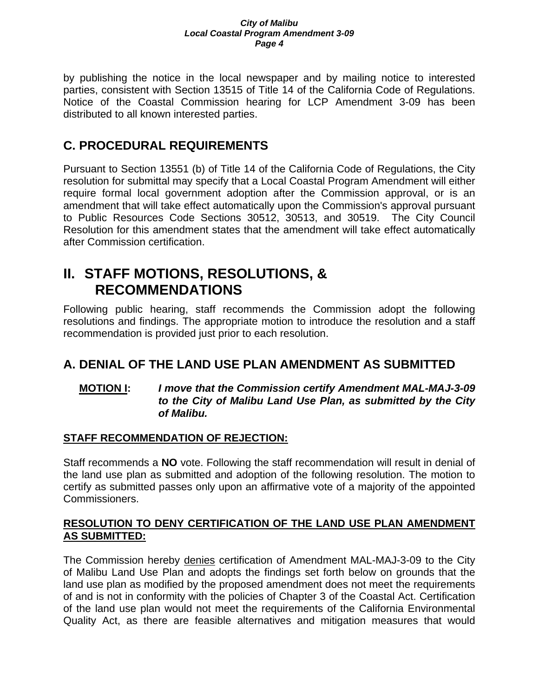by publishing the notice in the local newspaper and by mailing notice to interested parties, consistent with Section 13515 of Title 14 of the California Code of Regulations. Notice of the Coastal Commission hearing for LCP Amendment 3-09 has been distributed to all known interested parties.

# **C. PROCEDURAL REQUIREMENTS**

Pursuant to Section 13551 (b) of Title 14 of the California Code of Regulations, the City resolution for submittal may specify that a Local Coastal Program Amendment will either require formal local government adoption after the Commission approval, or is an amendment that will take effect automatically upon the Commission's approval pursuant to Public Resources Code Sections 30512, 30513, and 30519. The City Council Resolution for this amendment states that the amendment will take effect automatically after Commission certification.

# **II. STAFF MOTIONS, RESOLUTIONS, & RECOMMENDATIONS**

Following public hearing, staff recommends the Commission adopt the following resolutions and findings. The appropriate motion to introduce the resolution and a staff recommendation is provided just prior to each resolution.

# **A. DENIAL OF THE LAND USE PLAN AMENDMENT AS SUBMITTED**

# **MOTION I:** *I move that the Commission certify Amendment MAL-MAJ-3-09 to the City of Malibu Land Use Plan, as submitted by the City of Malibu.*

# **STAFF RECOMMENDATION OF REJECTION:**

Staff recommends a **NO** vote. Following the staff recommendation will result in denial of the land use plan as submitted and adoption of the following resolution. The motion to certify as submitted passes only upon an affirmative vote of a majority of the appointed Commissioners.

# **RESOLUTION TO DENY CERTIFICATION OF THE LAND USE PLAN AMENDMENT AS SUBMITTED:**

The Commission hereby denies certification of Amendment MAL-MAJ-3-09 to the City of Malibu Land Use Plan and adopts the findings set forth below on grounds that the land use plan as modified by the proposed amendment does not meet the requirements of and is not in conformity with the policies of Chapter 3 of the Coastal Act. Certification of the land use plan would not meet the requirements of the California Environmental Quality Act, as there are feasible alternatives and mitigation measures that would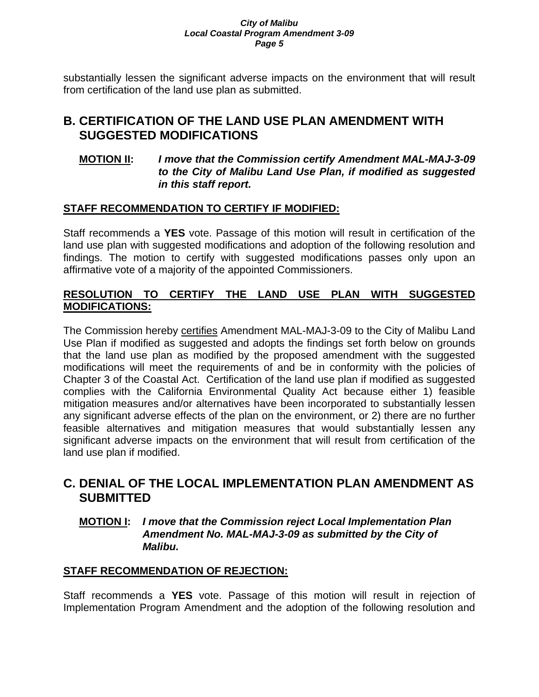substantially lessen the significant adverse impacts on the environment that will result from certification of the land use plan as submitted.

# **B. CERTIFICATION OF THE LAND USE PLAN AMENDMENT WITH SUGGESTED MODIFICATIONS**

# **MOTION II:** *I move that the Commission certify Amendment MAL-MAJ-3-09 to the City of Malibu Land Use Plan, if modified as suggested in this staff report.*

# **STAFF RECOMMENDATION TO CERTIFY IF MODIFIED:**

Staff recommends a **YES** vote. Passage of this motion will result in certification of the land use plan with suggested modifications and adoption of the following resolution and findings. The motion to certify with suggested modifications passes only upon an affirmative vote of a majority of the appointed Commissioners.

# **RESOLUTION TO CERTIFY THE LAND USE PLAN WITH SUGGESTED MODIFICATIONS:**

The Commission hereby certifies Amendment MAL-MAJ-3-09 to the City of Malibu Land Use Plan if modified as suggested and adopts the findings set forth below on grounds that the land use plan as modified by the proposed amendment with the suggested modifications will meet the requirements of and be in conformity with the policies of Chapter 3 of the Coastal Act. Certification of the land use plan if modified as suggested complies with the California Environmental Quality Act because either 1) feasible mitigation measures and/or alternatives have been incorporated to substantially lessen any significant adverse effects of the plan on the environment, or 2) there are no further feasible alternatives and mitigation measures that would substantially lessen any significant adverse impacts on the environment that will result from certification of the land use plan if modified.

# **C. DENIAL OF THE LOCAL IMPLEMENTATION PLAN AMENDMENT AS SUBMITTED**

# **MOTION I:** *I move that the Commission reject Local Implementation Plan Amendment No. MAL-MAJ-3-09 as submitted by the City of Malibu.*

# **STAFF RECOMMENDATION OF REJECTION:**

Staff recommends a **YES** vote. Passage of this motion will result in rejection of Implementation Program Amendment and the adoption of the following resolution and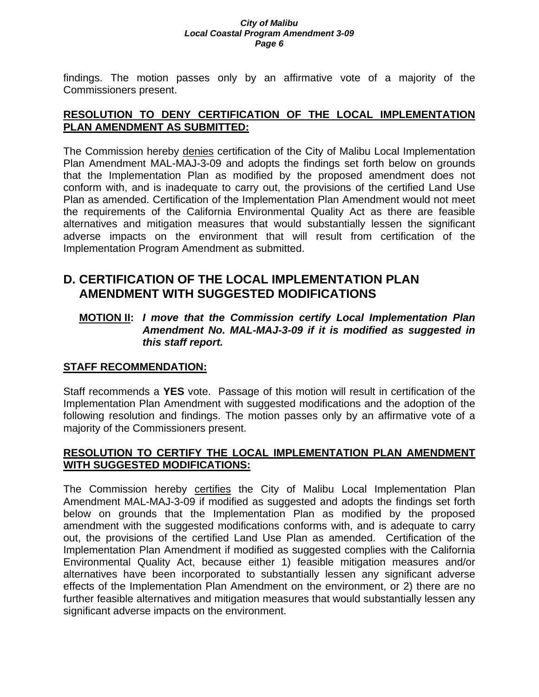findings. The motion passes only by an affirmative vote of a majority of the Commissioners present.

# **RESOLUTION TO DENY CERTIFICATION OF THE LOCAL IMPLEMENTATION PLAN AMENDMENT AS SUBMITTED:**

The Commission hereby denies certification of the City of Malibu Local Implementation Plan Amendment MAL-MAJ-3-09 and adopts the findings set forth below on grounds that the Implementation Plan as modified by the proposed amendment does not conform with, and is inadequate to carry out, the provisions of the certified Land Use Plan as amended. Certification of the Implementation Plan Amendment would not meet the requirements of the California Environmental Quality Act as there are feasible alternatives and mitigation measures that would substantially lessen the significant adverse impacts on the environment that will result from certification of the Implementation Program Amendment as submitted.

# **D. CERTIFICATION OF THE LOCAL IMPLEMENTATION PLAN AMENDMENT WITH SUGGESTED MODIFICATIONS**

# **MOTION II:** *I move that the Commission certify Local Implementation Plan Amendment No. MAL-MAJ-3-09 if it is modified as suggested in this staff report.*

# **STAFF RECOMMENDATION:**

Staff recommends a **YES** vote. Passage of this motion will result in certification of the Implementation Plan Amendment with suggested modifications and the adoption of the following resolution and findings. The motion passes only by an affirmative vote of a majority of the Commissioners present.

# **RESOLUTION TO CERTIFY THE LOCAL IMPLEMENTATION PLAN AMENDMENT WITH SUGGESTED MODIFICATIONS:**

The Commission hereby certifies the City of Malibu Local Implementation Plan Amendment MAL-MAJ-3-09 if modified as suggested and adopts the findings set forth below on grounds that the Implementation Plan as modified by the proposed amendment with the suggested modifications conforms with, and is adequate to carry out, the provisions of the certified Land Use Plan as amended. Certification of the Implementation Plan Amendment if modified as suggested complies with the California Environmental Quality Act, because either 1) feasible mitigation measures and/or alternatives have been incorporated to substantially lessen any significant adverse effects of the Implementation Plan Amendment on the environment, or 2) there are no further feasible alternatives and mitigation measures that would substantially lessen any significant adverse impacts on the environment.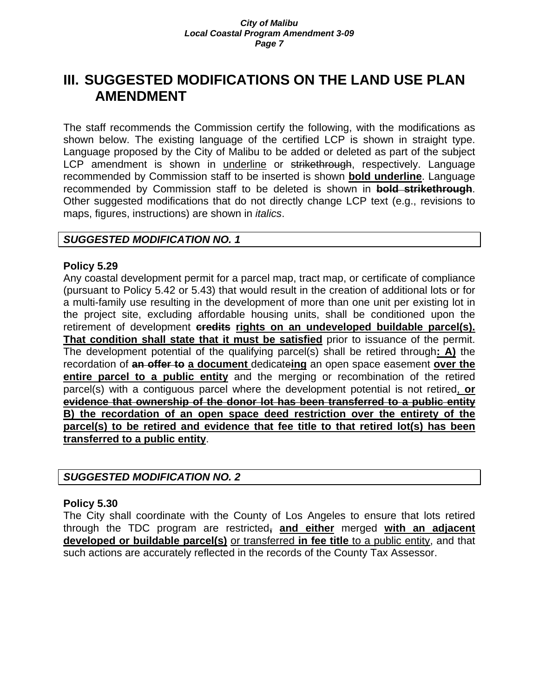# **III. SUGGESTED MODIFICATIONS ON THE LAND USE PLAN AMENDMENT**

The staff recommends the Commission certify the following, with the modifications as shown below. The existing language of the certified LCP is shown in straight type. Language proposed by the City of Malibu to be added or deleted as part of the subject LCP amendment is shown in underline or strikethrough, respectively. Language recommended by Commission staff to be inserted is shown **bold underline**. Language recommended by Commission staff to be deleted is shown in **bold strikethrough**. Other suggested modifications that do not directly change LCP text (e.g., revisions to maps, figures, instructions) are shown in *italics*.

# *SUGGESTED MODIFICATION NO. 1*

### **Policy 5.29**

Any coastal development permit for a parcel map, tract map, or certificate of compliance (pursuant to Policy 5.42 or 5.43) that would result in the creation of additional lots or for a multi-family use resulting in the development of more than one unit per existing lot in the project site, excluding affordable housing units, shall be conditioned upon the retirement of development **credits rights on an undeveloped buildable parcel(s). That condition shall state that it must be satisfied** prior to issuance of the permit. The development potential of the qualifying parcel(s) shall be retired through**: A)** the recordation of **an offer to a document** dedicate**ing** an open space easement **over the entire parcel to a public entity** and the merging or recombination of the retired parcel(s) with a contiguous parcel where the development potential is not retired, **or evidence that ownership of the donor lot has been transferred to a public entity B) the recordation of an open space deed restriction over the entirety of the parcel(s) to be retired and evidence that fee title to that retired lot(s) has been transferred to a public entity**.

# *SUGGESTED MODIFICATION NO. 2*

## **Policy 5.30**

The City shall coordinate with the County of Los Angeles to ensure that lots retired through the TDC program are restricted**, and either** merged **with an adjacent developed or buildable parcel(s)** or transferred **in fee title** to a public entity, and that such actions are accurately reflected in the records of the County Tax Assessor.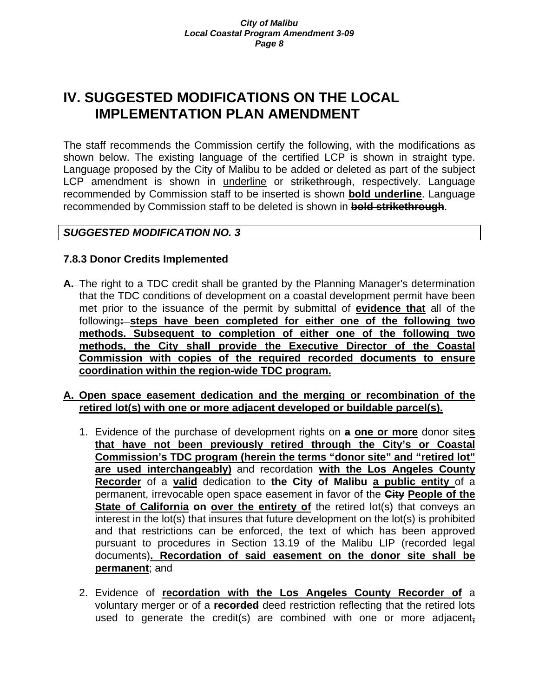# **IV. SUGGESTED MODIFICATIONS ON THE LOCAL IMPLEMENTATION PLAN AMENDMENT**

The staff recommends the Commission certify the following, with the modifications as shown below. The existing language of the certified LCP is shown in straight type. Language proposed by the City of Malibu to be added or deleted as part of the subject LCP amendment is shown in underline or strikethrough, respectively. Language recommended by Commission staff to be inserted is shown **bold underline**. Language recommended by Commission staff to be deleted is shown in **bold strikethrough**.

# *SUGGESTED MODIFICATION NO. 3*

# **7.8.3 Donor Credits Implemented**

- **A.** The right to a TDC credit shall be granted by the Planning Manager's determination that the TDC conditions of development on a coastal development permit have been met prior to the issuance of the permit by submittal of **evidence that** all of the following**: steps have been completed for either one of the following two methods. Subsequent to completion of either one of the following two methods, the City shall provide the Executive Director of the Coastal Commission with copies of the required recorded documents to ensure coordination within the region-wide TDC program.**
- **A. Open space easement dedication and the merging or recombination of the retired lot(s) with one or more adjacent developed or buildable parcel(s).**
	- 1. Evidence of the purchase of development rights on **a one or more** donor site**s that have not been previously retired through the City's or Coastal Commission's TDC program (herein the terms "donor site" and "retired lot" are used interchangeably)** and recordation **with the Los Angeles County Recorder** of a **valid** dedication to **the City of Malibu a public entity** of a permanent, irrevocable open space easement in favor of the **City People of the State of California on over the entirety of** the retired lot(s) that conveys an interest in the lot(s) that insures that future development on the lot(s) is prohibited and that restrictions can be enforced, the text of which has been approved pursuant to procedures in Section 13.19 of the Malibu LIP (recorded legal documents)**. Recordation of said easement on the donor site shall be permanent**; and
	- 2. Evidence of **recordation with the Los Angeles County Recorder of** a voluntary merger or of a **recorded** deed restriction reflecting that the retired lots used to generate the credit(s) are combined with one or more adjacent**,**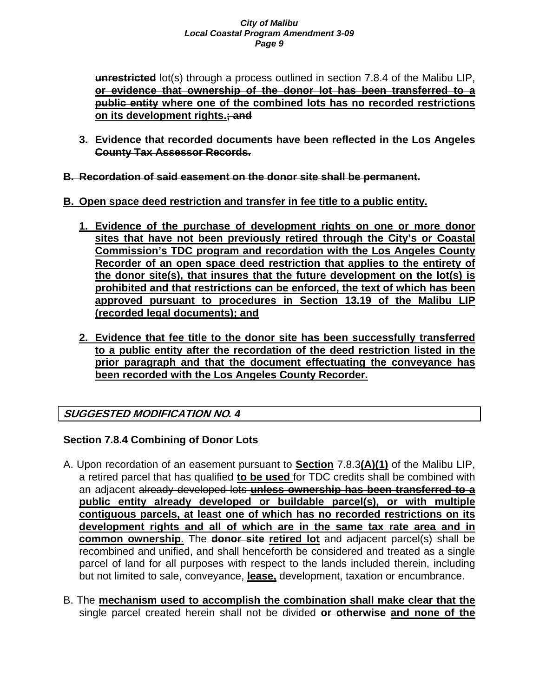**unrestricted** lot(s) through a process outlined in section 7.8.4 of the Malibu LIP, **or evidence that ownership of the donor lot has been transferred to a public entity where one of the combined lots has no recorded restrictions on its development rights.; and**

- **3. Evidence that recorded documents have been reflected in the Los Angeles County Tax Assessor Records.**
- **B. Recordation of said easement on the donor site shall be permanent.**
- **B. Open space deed restriction and transfer in fee title to a public entity.**
	- **1. Evidence of the purchase of development rights on one or more donor sites that have not been previously retired through the City's or Coastal Commission's TDC program and recordation with the Los Angeles County Recorder of an open space deed restriction that applies to the entirety of the donor site(s), that insures that the future development on the lot(s) is prohibited and that restrictions can be enforced, the text of which has been approved pursuant to procedures in Section 13.19 of the Malibu LIP (recorded legal documents); and**
	- **2. Evidence that fee title to the donor site has been successfully transferred to a public entity after the recordation of the deed restriction listed in the prior paragraph and that the document effectuating the conveyance has been recorded with the Los Angeles County Recorder.**

# **SUGGESTED MODIFICATION NO***. 4*

# **Section 7.8.4 Combining of Donor Lots**

- A. Upon recordation of an easement pursuant to **Section** 7.8.3**(A)(1)** of the Malibu LIP, a retired parcel that has qualified **to be used** for TDC credits shall be combined with an adjacent already developed lots **unless ownership has been transferred to a public entity already developed or buildable parcel(s), or with multiple contiguous parcels, at least one of which has no recorded restrictions on its development rights and all of which are in the same tax rate area and in common ownership**. The **donor site retired lot** and adjacent parcel(s) shall be recombined and unified, and shall henceforth be considered and treated as a single parcel of land for all purposes with respect to the lands included therein, including but not limited to sale, conveyance, **lease,** development, taxation or encumbrance.
- B. The **mechanism used to accomplish the combination shall make clear that the**  single parcel created herein shall not be divided **or otherwise and none of the**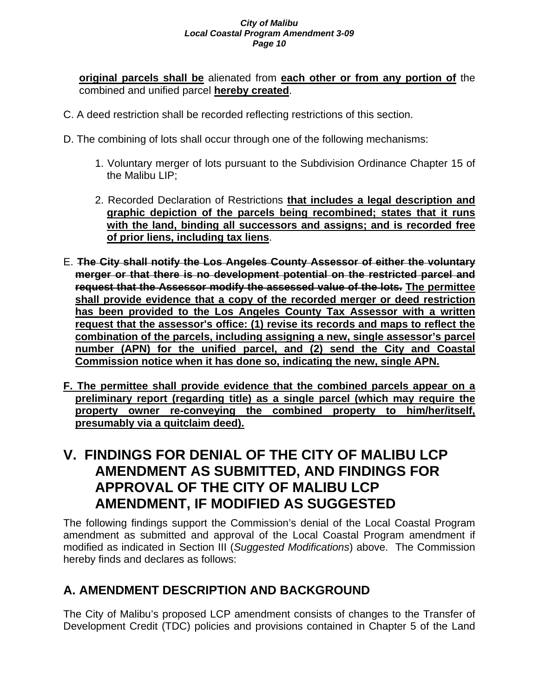**original parcels shall be** alienated from **each other or from any portion of** the combined and unified parcel **hereby created**.

- C. A deed restriction shall be recorded reflecting restrictions of this section.
- D. The combining of lots shall occur through one of the following mechanisms:
	- 1. Voluntary merger of lots pursuant to the Subdivision Ordinance Chapter 15 of the Malibu LIP;
	- 2. Recorded Declaration of Restrictions **that includes a legal description and graphic depiction of the parcels being recombined; states that it runs with the land, binding all successors and assigns; and is recorded free of prior liens, including tax liens**.
- E. **The City shall notify the Los Angeles County Assessor of either the voluntary merger or that there is no development potential on the restricted parcel and request that the Assessor modify the assessed value of the lots. The permittee shall provide evidence that a copy of the recorded merger or deed restriction has been provided to the Los Angeles County Tax Assessor with a written request that the assessor's office: (1) revise its records and maps to reflect the combination of the parcels, including assigning a new, single assessor's parcel number (APN) for the unified parcel, and (2) send the City and Coastal Commission notice when it has done so, indicating the new, single APN.**
- **F. The permittee shall provide evidence that the combined parcels appear on a preliminary report (regarding title) as a single parcel (which may require the property owner re-conveying the combined property to him/her/itself, presumably via a quitclaim deed).**

# **V. FINDINGS FOR DENIAL OF THE CITY OF MALIBU LCP AMENDMENT AS SUBMITTED, AND FINDINGS FOR APPROVAL OF THE CITY OF MALIBU LCP AMENDMENT, IF MODIFIED AS SUGGESTED**

The following findings support the Commission's denial of the Local Coastal Program amendment as submitted and approval of the Local Coastal Program amendment if modified as indicated in Section III (*Suggested Modifications*) above. The Commission hereby finds and declares as follows:

# **A. AMENDMENT DESCRIPTION AND BACKGROUND**

The City of Malibu's proposed LCP amendment consists of changes to the Transfer of Development Credit (TDC) policies and provisions contained in Chapter 5 of the Land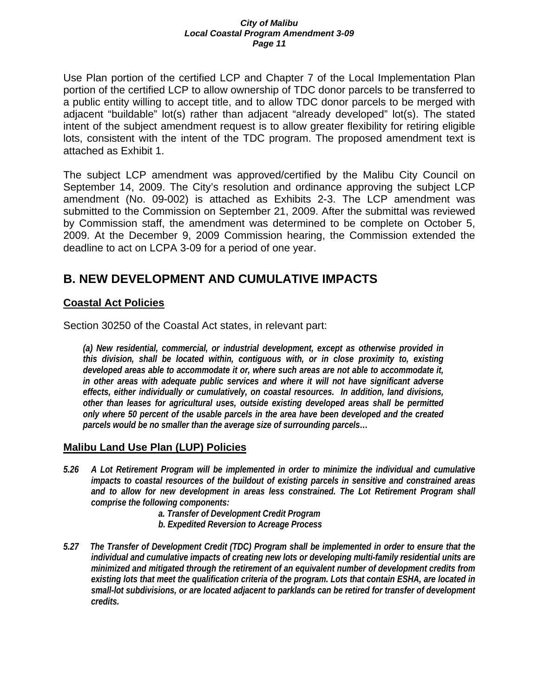Use Plan portion of the certified LCP and Chapter 7 of the Local Implementation Plan portion of the certified LCP to allow ownership of TDC donor parcels to be transferred to a public entity willing to accept title, and to allow TDC donor parcels to be merged with adjacent "buildable" lot(s) rather than adjacent "already developed" lot(s). The stated intent of the subject amendment request is to allow greater flexibility for retiring eligible lots, consistent with the intent of the TDC program. The proposed amendment text is attached as Exhibit 1.

The subject LCP amendment was approved/certified by the Malibu City Council on September 14, 2009. The City's resolution and ordinance approving the subject LCP amendment (No. 09-002) is attached as Exhibits 2-3. The LCP amendment was submitted to the Commission on September 21, 2009. After the submittal was reviewed by Commission staff, the amendment was determined to be complete on October 5, 2009. At the December 9, 2009 Commission hearing, the Commission extended the deadline to act on LCPA 3-09 for a period of one year.

# **B. NEW DEVELOPMENT AND CUMULATIVE IMPACTS**

# **Coastal Act Policies**

Section 30250 of the Coastal Act states, in relevant part:

*(a) New residential, commercial, or industrial development, except as otherwise provided in this division, shall be located within, contiguous with, or in close proximity to, existing developed areas able to accommodate it or, where such areas are not able to accommodate it, in other areas with adequate public services and where it will not have significant adverse effects, either individually or cumulatively, on coastal resources. In addition, land divisions, other than leases for agricultural uses, outside existing developed areas shall be permitted only where 50 percent of the usable parcels in the area have been developed and the created parcels would be no smaller than the average size of surrounding parcels…* 

# **Malibu Land Use Plan (LUP) Policies**

- *5.26 A Lot Retirement Program will be implemented in order to minimize the individual and cumulative impacts to coastal resources of the buildout of existing parcels in sensitive and constrained areas and to allow for new development in areas less constrained. The Lot Retirement Program shall comprise the following components:* 
	- *a. Transfer of Development Credit Program*
	- *b. Expedited Reversion to Acreage Process*
- *5.27 The Transfer of Development Credit (TDC) Program shall be implemented in order to ensure that the individual and cumulative impacts of creating new lots or developing multi-family residential units are minimized and mitigated through the retirement of an equivalent number of development credits from existing lots that meet the qualification criteria of the program. Lots that contain ESHA, are located in small-lot subdivisions, or are located adjacent to parklands can be retired for transfer of development credits.*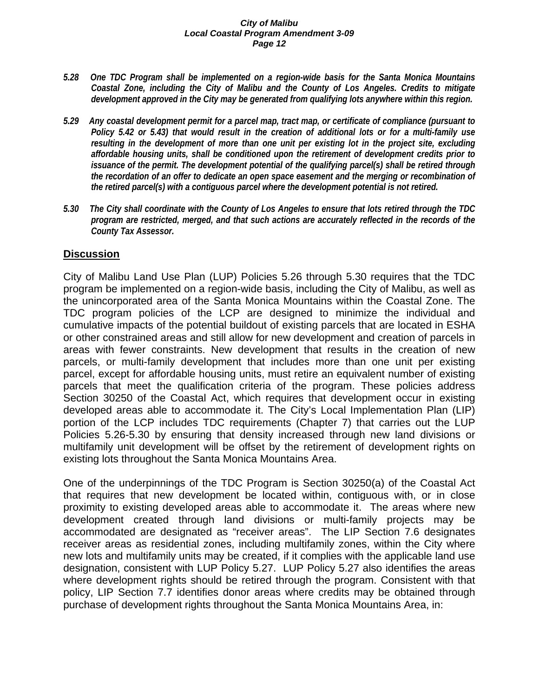- *5.28 One TDC Program shall be implemented on a region-wide basis for the Santa Monica Mountains Coastal Zone, including the City of Malibu and the County of Los Angeles. Credits to mitigate development approved in the City may be generated from qualifying lots anywhere within this region.*
- *5.29 Any coastal development permit for a parcel map, tract map, or certificate of compliance (pursuant to Policy 5.42 or 5.43) that would result in the creation of additional lots or for a multi-family use resulting in the development of more than one unit per existing lot in the project site, excluding affordable housing units, shall be conditioned upon the retirement of development credits prior to issuance of the permit. The development potential of the qualifying parcel(s) shall be retired through the recordation of an offer to dedicate an open space easement and the merging or recombination of the retired parcel(s) with a contiguous parcel where the development potential is not retired.*
- *5.30 The City shall coordinate with the County of Los Angeles to ensure that lots retired through the TDC program are restricted, merged, and that such actions are accurately reflected in the records of the County Tax Assessor.*

## **Discussion**

City of Malibu Land Use Plan (LUP) Policies 5.26 through 5.30 requires that the TDC program be implemented on a region-wide basis, including the City of Malibu, as well as the unincorporated area of the Santa Monica Mountains within the Coastal Zone. The TDC program policies of the LCP are designed to minimize the individual and cumulative impacts of the potential buildout of existing parcels that are located in ESHA or other constrained areas and still allow for new development and creation of parcels in areas with fewer constraints. New development that results in the creation of new parcels, or multi-family development that includes more than one unit per existing parcel, except for affordable housing units, must retire an equivalent number of existing parcels that meet the qualification criteria of the program. These policies address Section 30250 of the Coastal Act, which requires that development occur in existing developed areas able to accommodate it. The City's Local Implementation Plan (LIP) portion of the LCP includes TDC requirements (Chapter 7) that carries out the LUP Policies 5.26-5.30 by ensuring that density increased through new land divisions or multifamily unit development will be offset by the retirement of development rights on existing lots throughout the Santa Monica Mountains Area.

One of the underpinnings of the TDC Program is Section 30250(a) of the Coastal Act that requires that new development be located within, contiguous with, or in close proximity to existing developed areas able to accommodate it. The areas where new development created through land divisions or multi-family projects may be accommodated are designated as "receiver areas". The LIP Section 7.6 designates receiver areas as residential zones, including multifamily zones, within the City where new lots and multifamily units may be created, if it complies with the applicable land use designation, consistent with LUP Policy 5.27. LUP Policy 5.27 also identifies the areas where development rights should be retired through the program. Consistent with that policy, LIP Section 7.7 identifies donor areas where credits may be obtained through purchase of development rights throughout the Santa Monica Mountains Area, in: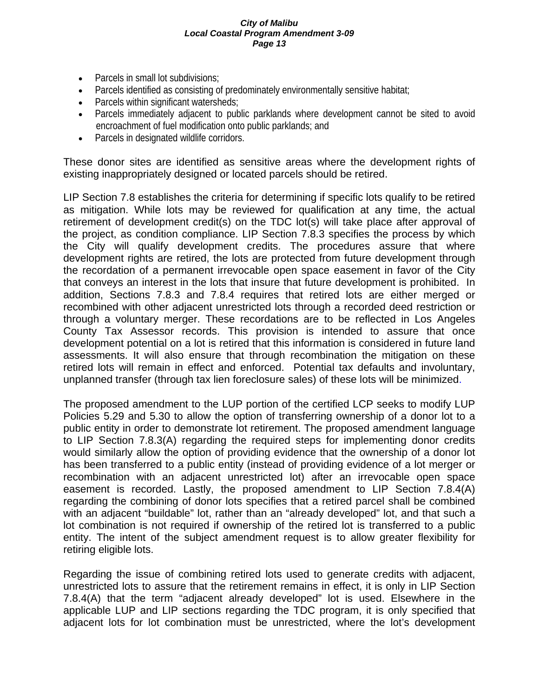- Parcels in small lot subdivisions;
- Parcels identified as consisting of predominately environmentally sensitive habitat;
- Parcels within significant watersheds;
- Parcels immediately adjacent to public parklands where development cannot be sited to avoid encroachment of fuel modification onto public parklands; and
- Parcels in designated wildlife corridors.

These donor sites are identified as sensitive areas where the development rights of existing inappropriately designed or located parcels should be retired.

LIP Section 7.8 establishes the criteria for determining if specific lots qualify to be retired as mitigation. While lots may be reviewed for qualification at any time, the actual retirement of development credit(s) on the TDC lot(s) will take place after approval of the project, as condition compliance. LIP Section 7.8.3 specifies the process by which the City will qualify development credits. The procedures assure that where development rights are retired, the lots are protected from future development through the recordation of a permanent irrevocable open space easement in favor of the City that conveys an interest in the lots that insure that future development is prohibited. In addition, Sections 7.8.3 and 7.8.4 requires that retired lots are either merged or recombined with other adjacent unrestricted lots through a recorded deed restriction or through a voluntary merger. These recordations are to be reflected in Los Angeles County Tax Assessor records. This provision is intended to assure that once development potential on a lot is retired that this information is considered in future land assessments. It will also ensure that through recombination the mitigation on these retired lots will remain in effect and enforced. Potential tax defaults and involuntary, unplanned transfer (through tax lien foreclosure sales) of these lots will be minimized.

The proposed amendment to the LUP portion of the certified LCP seeks to modify LUP Policies 5.29 and 5.30 to allow the option of transferring ownership of a donor lot to a public entity in order to demonstrate lot retirement. The proposed amendment language to LIP Section 7.8.3(A) regarding the required steps for implementing donor credits would similarly allow the option of providing evidence that the ownership of a donor lot has been transferred to a public entity (instead of providing evidence of a lot merger or recombination with an adjacent unrestricted lot) after an irrevocable open space easement is recorded. Lastly, the proposed amendment to LIP Section 7.8.4(A) regarding the combining of donor lots specifies that a retired parcel shall be combined with an adjacent "buildable" lot, rather than an "already developed" lot, and that such a lot combination is not required if ownership of the retired lot is transferred to a public entity. The intent of the subject amendment request is to allow greater flexibility for retiring eligible lots.

Regarding the issue of combining retired lots used to generate credits with adjacent, unrestricted lots to assure that the retirement remains in effect, it is only in LIP Section 7.8.4(A) that the term "adjacent already developed" lot is used. Elsewhere in the applicable LUP and LIP sections regarding the TDC program, it is only specified that adjacent lots for lot combination must be unrestricted, where the lot's development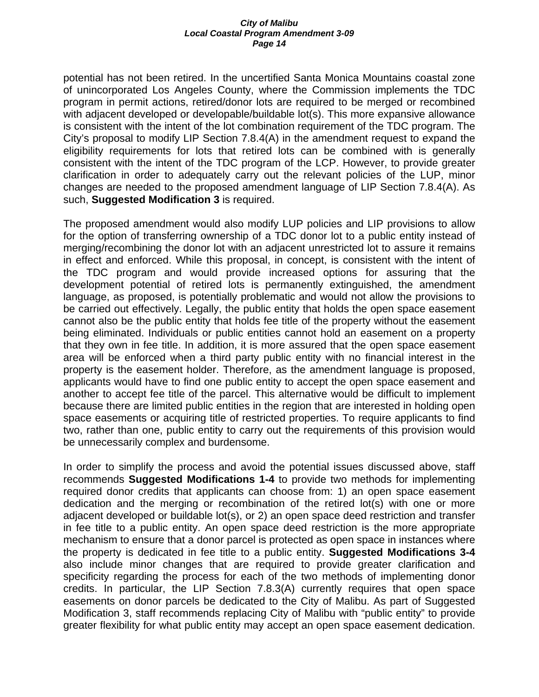potential has not been retired. In the uncertified Santa Monica Mountains coastal zone of unincorporated Los Angeles County, where the Commission implements the TDC program in permit actions, retired/donor lots are required to be merged or recombined with adjacent developed or developable/buildable lot(s). This more expansive allowance is consistent with the intent of the lot combination requirement of the TDC program. The City's proposal to modify LIP Section 7.8.4(A) in the amendment request to expand the eligibility requirements for lots that retired lots can be combined with is generally consistent with the intent of the TDC program of the LCP. However, to provide greater clarification in order to adequately carry out the relevant policies of the LUP, minor changes are needed to the proposed amendment language of LIP Section 7.8.4(A). As such, **Suggested Modification 3** is required.

The proposed amendment would also modify LUP policies and LIP provisions to allow for the option of transferring ownership of a TDC donor lot to a public entity instead of merging/recombining the donor lot with an adjacent unrestricted lot to assure it remains in effect and enforced. While this proposal, in concept, is consistent with the intent of the TDC program and would provide increased options for assuring that the development potential of retired lots is permanently extinguished, the amendment language, as proposed, is potentially problematic and would not allow the provisions to be carried out effectively. Legally, the public entity that holds the open space easement cannot also be the public entity that holds fee title of the property without the easement being eliminated. Individuals or public entities cannot hold an easement on a property that they own in fee title. In addition, it is more assured that the open space easement area will be enforced when a third party public entity with no financial interest in the property is the easement holder. Therefore, as the amendment language is proposed, applicants would have to find one public entity to accept the open space easement and another to accept fee title of the parcel. This alternative would be difficult to implement because there are limited public entities in the region that are interested in holding open space easements or acquiring title of restricted properties. To require applicants to find two, rather than one, public entity to carry out the requirements of this provision would be unnecessarily complex and burdensome.

In order to simplify the process and avoid the potential issues discussed above, staff recommends **Suggested Modifications 1-4** to provide two methods for implementing required donor credits that applicants can choose from: 1) an open space easement dedication and the merging or recombination of the retired lot(s) with one or more adjacent developed or buildable lot(s), or 2) an open space deed restriction and transfer in fee title to a public entity. An open space deed restriction is the more appropriate mechanism to ensure that a donor parcel is protected as open space in instances where the property is dedicated in fee title to a public entity. **Suggested Modifications 3-4** also include minor changes that are required to provide greater clarification and specificity regarding the process for each of the two methods of implementing donor credits. In particular, the LIP Section 7.8.3(A) currently requires that open space easements on donor parcels be dedicated to the City of Malibu. As part of Suggested Modification 3, staff recommends replacing City of Malibu with "public entity" to provide greater flexibility for what public entity may accept an open space easement dedication.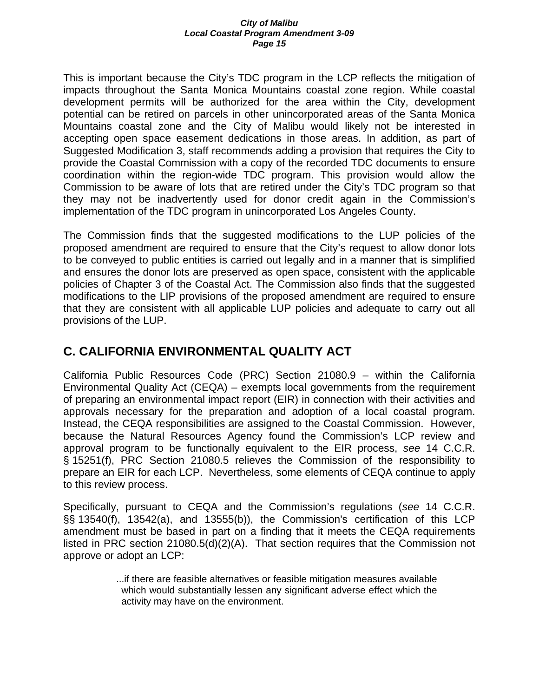This is important because the City's TDC program in the LCP reflects the mitigation of impacts throughout the Santa Monica Mountains coastal zone region. While coastal development permits will be authorized for the area within the City, development potential can be retired on parcels in other unincorporated areas of the Santa Monica Mountains coastal zone and the City of Malibu would likely not be interested in accepting open space easement dedications in those areas. In addition, as part of Suggested Modification 3, staff recommends adding a provision that requires the City to provide the Coastal Commission with a copy of the recorded TDC documents to ensure coordination within the region-wide TDC program. This provision would allow the Commission to be aware of lots that are retired under the City's TDC program so that they may not be inadvertently used for donor credit again in the Commission's implementation of the TDC program in unincorporated Los Angeles County.

The Commission finds that the suggested modifications to the LUP policies of the proposed amendment are required to ensure that the City's request to allow donor lots to be conveyed to public entities is carried out legally and in a manner that is simplified and ensures the donor lots are preserved as open space, consistent with the applicable policies of Chapter 3 of the Coastal Act. The Commission also finds that the suggested modifications to the LIP provisions of the proposed amendment are required to ensure that they are consistent with all applicable LUP policies and adequate to carry out all provisions of the LUP.

# **C. CALIFORNIA ENVIRONMENTAL QUALITY ACT**

California Public Resources Code (PRC) Section 21080.9 – within the California Environmental Quality Act (CEQA) – exempts local governments from the requirement of preparing an environmental impact report (EIR) in connection with their activities and approvals necessary for the preparation and adoption of a local coastal program. Instead, the CEQA responsibilities are assigned to the Coastal Commission. However, because the Natural Resources Agency found the Commission's LCP review and approval program to be functionally equivalent to the EIR process, *see* 14 C.C.R. § 15251(f), PRC Section 21080.5 relieves the Commission of the responsibility to prepare an EIR for each LCP. Nevertheless, some elements of CEQA continue to apply to this review process.

Specifically, pursuant to CEQA and the Commission's regulations (*see* 14 C.C.R. §§ 13540(f), 13542(a), and 13555(b)), the Commission's certification of this LCP amendment must be based in part on a finding that it meets the CEQA requirements listed in PRC section 21080.5(d)(2)(A). That section requires that the Commission not approve or adopt an LCP:

> ...if there are feasible alternatives or feasible mitigation measures available which would substantially lessen any significant adverse effect which the activity may have on the environment.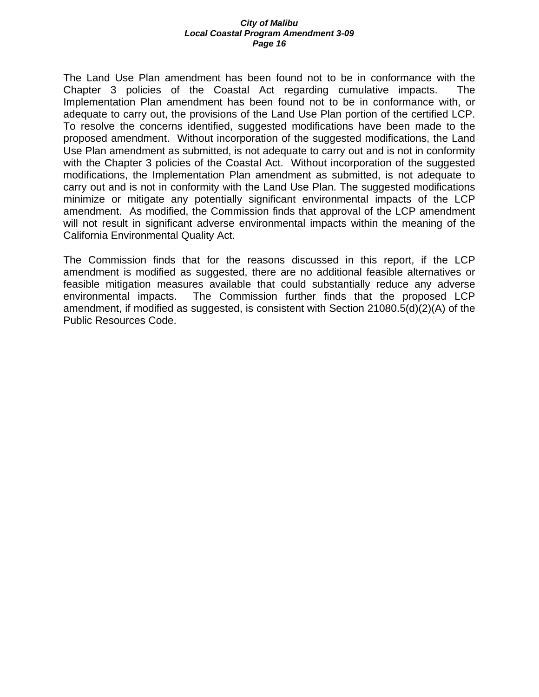The Land Use Plan amendment has been found not to be in conformance with the Chapter 3 policies of the Coastal Act regarding cumulative impacts. The Implementation Plan amendment has been found not to be in conformance with, or adequate to carry out, the provisions of the Land Use Plan portion of the certified LCP. To resolve the concerns identified, suggested modifications have been made to the proposed amendment. Without incorporation of the suggested modifications, the Land Use Plan amendment as submitted, is not adequate to carry out and is not in conformity with the Chapter 3 policies of the Coastal Act. Without incorporation of the suggested modifications, the Implementation Plan amendment as submitted, is not adequate to carry out and is not in conformity with the Land Use Plan. The suggested modifications minimize or mitigate any potentially significant environmental impacts of the LCP amendment. As modified, the Commission finds that approval of the LCP amendment will not result in significant adverse environmental impacts within the meaning of the California Environmental Quality Act.

The Commission finds that for the reasons discussed in this report, if the LCP amendment is modified as suggested, there are no additional feasible alternatives or feasible mitigation measures available that could substantially reduce any adverse environmental impacts. The Commission further finds that the proposed LCP amendment, if modified as suggested, is consistent with Section 21080.5(d)(2)(A) of the Public Resources Code.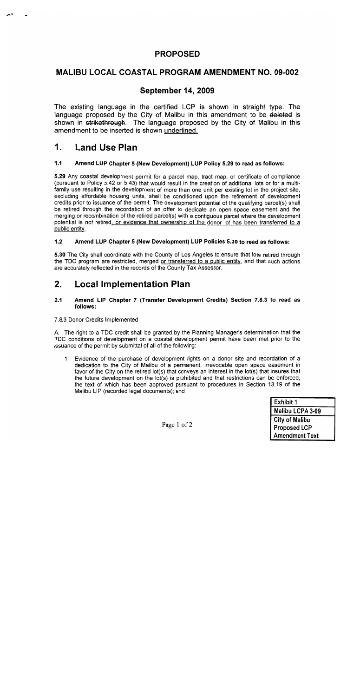# **PROPOSED**

# **MALIBU LOCAL COASTAL PROGRAM AMENDMENT NO. 09-002**

# **September 14, 2009**

The existing language in the certified LCP is shown in straight type. The language proposed by the City of Malibu in this amendment to be deleted is shown in strikethrough. The language proposed by the City of Malibu in this amendment to be inserted is shown underlined.

#### $\mathbf 1$ Land Use Plan

#### $1.1$ Amend LUP Chapter 5 (New Development) LUP Policy 5.29 to read as follows:

5.29 Any coastal development permit for a parcel map, tract map, or certificate of compliance (pursuant to Policy 5.42 or 5.43) that would result in the creation of additional lots or for a multifamily use resulting in the development of more than one unit per existing lot in the project site, excluding affordable housing units, shall be conditioned upon the retirement of development credits prior to issuance of the permit. The development potential of the qualifying parcel(s) shall be retired through the recordation of an offer to dedicate an open space easement and the merging or recombination of the retired parcel(s) with a contiguous parcel where the development potential is not retired, or evidence that ownership of the donor lot has been transferred to a public entity.

#### $1.2$ Amend LUP Chapter 5 (New Development) LUP Policies 5.30 to read as follows:

5.30 The City shall coordinate with the County of Los Angeles to ensure that lots retired through the TDC program are restricted, merged or transferred to a public entity, and that such actions are accurately reflected in the records of the County Tax Assessor.

#### $2.$ **Local Implementation Plan**

#### $2.1$ Amend LIP Chapter 7 (Transfer Development Credits) Section 7.8.3 to read as follows:

### 7.8.3 Donor Credits Implemented

A. The right to a TDC credit shall be granted by the Planning Manager's determination that the TDC conditions of development on a coastal development permit have been met prior to the issuance of the permit by submittal of all of the following:

1. Evidence of the purchase of development rights on a donor site and recordation of a dedication to the City of Malibu of a permanent, irrevocable open space easement in favor of the City on the retired lot(s) that conveys an interest in the lot(s) that insures that the future development on the lot(s) is prohibited and that restrictions can be enforced, the text of which has been approved pursuant to procedures in Section 13.19 of the Malibu LIP (recorded legal documents); and

| Exhibit 1             |  |  |  |  |
|-----------------------|--|--|--|--|
| Malibu LCPA 3-09      |  |  |  |  |
| <b>City of Malibu</b> |  |  |  |  |
| <b>Proposed LCP</b>   |  |  |  |  |
| <b>Amendment Text</b> |  |  |  |  |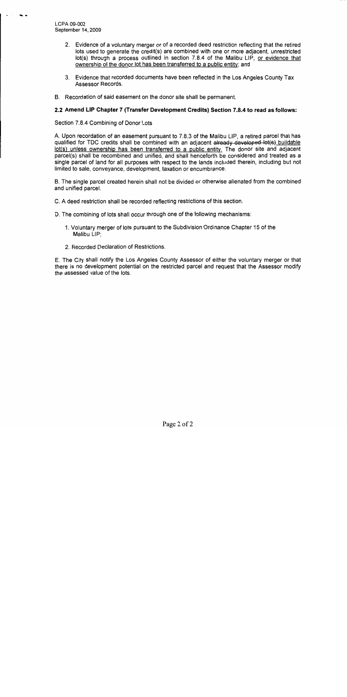LCPA 09-002 September 14, 2009

- 2. Evidence of a voluntary merger or of a recorded deed restriction reflecting that the retired lots used to generate the credit(s) are combined with one or more adjacent, unrestricted lot(s) through a process outlined in section 7.8.4 of the Malibu LIP, or evidence that ownership of the donor lot has been transferred to a public entity; and
- 3. Evidence that recorded documents have been reflected in the Los Angeles County Tax Assessor Records.
- B. Recordation of said easement on the donor site shall be permanent.

### 2.2 Amend LIP Chapter 7 (Transfer Development Credits) Section 7.8.4 to read as follows:

Section 7.8.4 Combining of Donor Lots

A. Upon recordation of an easement pursuant to 7.8.3 of the Malibu LIP, a retired parcel that has qualified for TDC credits shall be combined with an adjacent already developed lot(s) buildable lot(s) unless ownership has been transferred to a public entity. The donor site and adjacent parcel(s) shall be recombined and unified, and shall henceforth be considered and treated as a single parcel of land for all purposes with respect to the lands included therein, including but not limited to sale, conveyance, development, taxation or encumbrance.

B. The single parcel created herein shall not be divided or otherwise alienated from the combined and unified parcel.

- C. A deed restriction shall be recorded reflecting restrictions of this section.
- D. The combining of lots shall occur through one of the following mechanisms:
	- 1. Voluntary merger of lots pursuant to the Subdivision Ordinance Chapter 15 of the Malibu LIP:
	- 2. Recorded Declaration of Restrictions.

E. The City shall notify the Los Angeles County Assessor of either the voluntary merger or that there is no development potential on the restricted parcel and request that the Assessor modify the assessed value of the lots.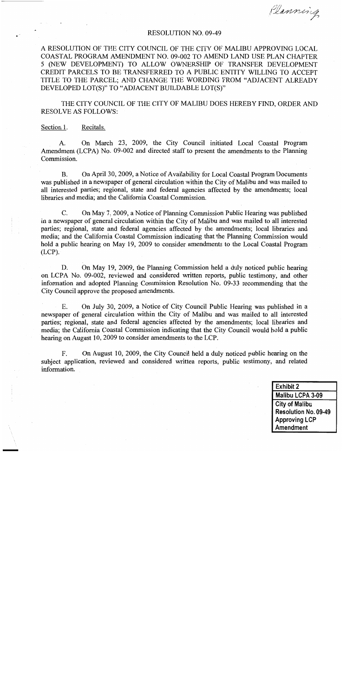Planning

#### **RESOLUTION NO. 09-49**

A RESOLUTION OF THE CITY COUNCIL OF THE CITY OF MALIBU APPROVING LOCAL COASTAL PROGRAM AMENDMENT NO. 09-002 TO AMEND LAND USE PLAN CHAPTER 5 (NEW DEVELOPMENT) TO ALLOW OWNERSHIP OF TRANSFER DEVELOPMENT CREDIT PARCELS TO BE TRANSFERRED TO A PUBLIC ENTITY WILLING TO ACCEPT TITLE TO THE PARCEL; AND CHANGE THE WORDING FROM "ADJACENT ALREADY DEVELOPED LOT(S)" TO "ADJACENT BUILDABLE LOT(S)"

THE CITY COUNCIL OF THE CITY OF MALIBU DOES HEREBY FIND. ORDER AND **RESOLVE AS FOLLOWS:** 

Section 1. Recitals.

On March 23, 2009, the City Council initiated Local Coastal Program  $A<sub>1</sub>$ Amendment (LCPA) No. 09-002 and directed staff to present the amendments to the Planning Commission.

 $\mathbf{B}$ . On April 30, 2009, a Notice of Availability for Local Coastal Program Documents was published in a newspaper of general circulation within the City of Malibu and was mailed to all interested parties; regional, state and federal agencies affected by the amendments; local libraries and media; and the California Coastal Commission.

On May 7, 2009, a Notice of Planning Commission Public Hearing was published  $C_{\cdot}$ in a newspaper of general circulation within the City of Malibu and was mailed to all interested parties; regional, state and federal agencies affected by the amendments; local libraries and media; and the California Coastal Commission indicating that the Planning Commission would hold a public hearing on May 19, 2009 to consider amendments to the Local Coastal Program  $(LCP)$ .

On May 19, 2009, the Planning Commission held a duly noticed public hearing D. on LCPA No. 09-002, reviewed and considered written reports, public testimony, and other information and adopted Planning Commission Resolution No. 09-33 recommending that the City Council approve the proposed amendments.

On July 30, 2009, a Notice of City Council Public Hearing was published in a E. newspaper of general circulation within the City of Malibu and was mailed to all interested parties; regional, state and federal agencies affected by the amendments; local libraries and media; the California Coastal Commission indicating that the City Council would hold a public hearing on August 10, 2009 to consider amendments to the LCP.

F. On August 10, 2009, the City Council held a duly noticed public hearing on the subject application, reviewed and considered written reports, public testimony, and related information.

> **Exhibit 2** Malibu LCPA 3-09 **City of Malibu** Resolution No. 09-49 **Approving LCP** Amendment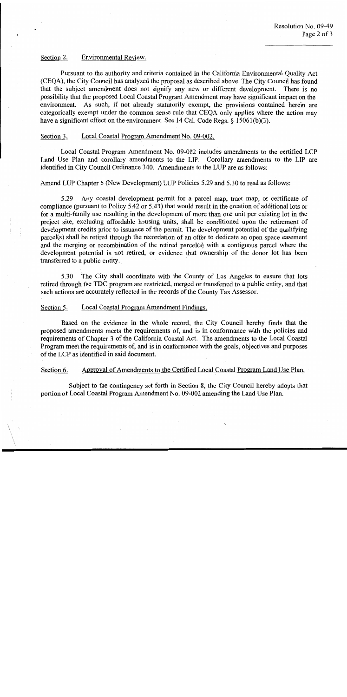#### Section 2. Environmental Review.

Pursuant to the authority and criteria contained in the California Environmental Quality Act (CEOA), the City Council has analyzed the proposal as described above. The City Council has found that the subject amendment does not signify any new or different development. There is no possibility that the proposed Local Coastal Program Amendment may have significant impact on the environment. As such, if not already statutorily exempt, the provisions contained herein are categorically exempt under the common sense rule that CEQA only applies where the action may have a significant effect on the environment. See 14 Cal. Code Regs.  $\S$  15061(b)(3).

#### Local Coastal Program Amendment No. 09-002. Section 3.

Local Coastal Program Amendment No. 09-002 includes amendments to the certified LCP Land Use Plan and corollary amendments to the LIP. Corollary amendments to the LIP are identified in City Council Ordinance 340. Amendments to the LUP are as follows:

Amend LUP Chapter 5 (New Development) LUP Policies 5.29 and 5.30 to read as follows:

Any coastal development permit for a parcel map, tract map, or certificate of 5.29 compliance (pursuant to Policy 5.42 or 5.43) that would result in the creation of additional lots or for a multi-family use resulting in the development of more than one unit per existing lot in the project site, excluding affordable housing units, shall be conditioned upon the retirement of development credits prior to issuance of the permit. The development potential of the qualifying parcel(s) shall be retired through the recordation of an offer to dedicate an open space easement and the merging or recombination of the retired parcel(s) with a contiguous parcel where the development potential is not retired, or evidence that ownership of the donor lot has been transferred to a public entity.

5.30 The City shall coordinate with the County of Los Angeles to ensure that lots retired through the TDC program are restricted, merged or transferred to a public entity, and that such actions are accurately reflected in the records of the County Tax Assessor.

#### Local Coastal Program Amendment Findings. Section 5.

Based on the evidence in the whole record, the City Council hereby finds that the proposed amendments meets the requirements of, and is in conformance with the policies and requirements of Chapter 3 of the California Coastal Act. The amendments to the Local Coastal Program meet the requirements of, and is in conformance with the goals, objectives and purposes of the LCP as identified in said document.

#### Approval of Amendments to the Certified Local Coastal Program Land Use Plan. Section 6.

Subject to the contingency set forth in Section 8, the City Council hereby adopts that portion of Local Coastal Program Amendment No. 09-002 amending the Land Use Plan.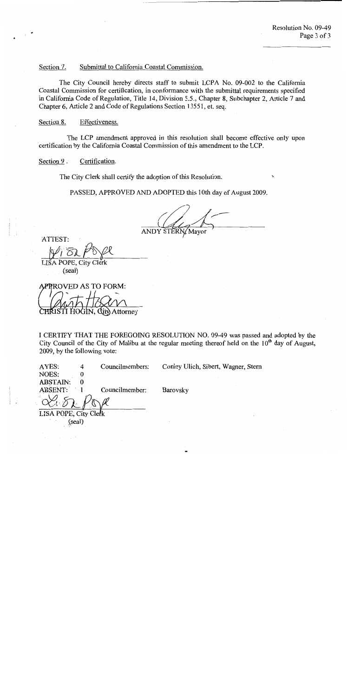Section 7. Submittal to California Coastal Commission.

The City Council hereby directs staff to submit LCPA No. 09-002 to the California Coastal Commission for certification, in conformance with the submittal requirements specified in California Code of Regulation, Title 14, Division 5.5., Chapter 8, Subchapter 2, Article 7 and Chapter 6, Article 2 and Code of Regulations Section 13551, et. seq.

Section 8. Effectiveness.

The LCP amendment approved in this resolution shall become effective only upon certification by the California Coastal Commission of this amendment to the LCP.

Section 9. Certification.

The City Clerk shall certify the adoption of this Resolution.

PASSED, APPROVED AND ADOPTED this 10th day of August 2009.

ANDY STERN/Mayor

ATTEST:

LISA POPE, City Clerk (seal)

| APPROVED AS TO FORM: |         |  |  |                              |  |
|----------------------|---------|--|--|------------------------------|--|
|                      |         |  |  |                              |  |
|                      | $44\pi$ |  |  |                              |  |
|                      |         |  |  | CHRISTI HOGIN, City Attorney |  |

I CERTIFY THAT THE FOREGOING RESOLUTION NO. 09-49 was passed and adopted by the City Council of the City of Malibu at the regular meeting thereof held on the  $10<sup>th</sup>$  day of August, 2009, by the following vote:

| AYES:                 |      | Councilmembers: | Conley Ulich, Sibert, Wagner, Stern |
|-----------------------|------|-----------------|-------------------------------------|
| NOES:                 | 0    |                 |                                     |
| ABSTAIN:              |      |                 |                                     |
| ABSENT:               |      | Councilmember:  | Barovsky                            |
|                       |      |                 |                                     |
| LISA POPE, City Clerk |      |                 |                                     |
|                       | seal |                 |                                     |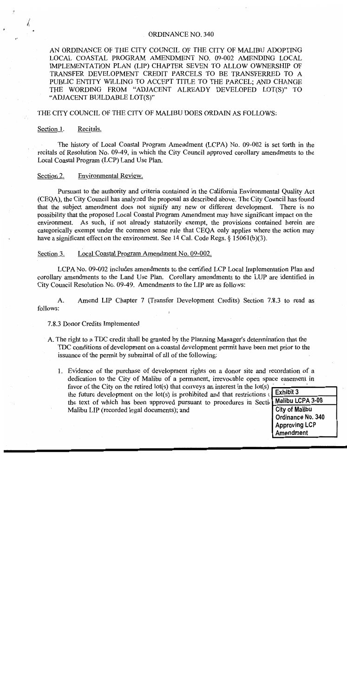#### **ORDINANCE NO. 340**

AN ORDINANCE OF THE CITY COUNCIL OF THE CITY OF MALIBU ADOPTING LOCAL COASTAL PROGRAM AMENDMENT NO. 09-002 AMENDING LOCAL IMPLEMENTATION PLAN (LIP) CHAPTER SEVEN TO ALLOW OWNERSHIP OF TRANSFER DEVELOPMENT CREDIT PARCELS TO BE TRANSFERRED TO A PUBLIC ENTITY WILLING TO ACCEPT TITLE TO THE PARCEL; AND CHANGE THE WORDING FROM "ADJACENT ALREADY DEVELOPED LOT(S)" TO "ADJACENT BUILDABLE LOT(S)"

### THE CITY COUNCIL OF THE CITY OF MALIBU DOES ORDAIN AS FOLLOWS:

#### Section 1. Recitals.

The history of Local Coastal Program Amendment (LCPA) No. 09-002 is set forth in the recitals of Resolution No. 09-49, in which the City Council approved corollary amendments to the Local Coastal Program (LCP) Land Use Plan.

#### Environmental Review. Section 2.

Pursuant to the authority and criteria contained in the California Environmental Quality Act (CEOA), the City Council has analyzed the proposal as described above. The City Council has found that the subject amendment does not signify any new or different development. There is no possibility that the proposed Local Coastal Program Amendment may have significant impact on the environment. As such, if not already statutorily exempt, the provisions contained herein are categorically exempt under the common sense rule that CEOA only applies where the action may have a significant effect on the environment. See 14 Cal. Code Regs.  $\S$  15061(b)(3).

#### Local Coastal Program Amendment No. 09-002. Section 3.

LCPA No. 09-002 includes amendments to the certified LCP Local Implementation Plan and corollary amendments to the Land Use Plan. Corollary amendments to the LUP are identified in City Council Resolution No. 09-49. Amendments to the LIP are as follows:

Amend LIP Chapter 7 (Transfer Development Credits) Section 7.8.3 to read as  $A_{\cdot}$ follows:

### 7.8.3 Donor Credits Implemented

- A. The right to a TDC credit shall be granted by the Planning Manager's determination that the TDC conditions of development on a coastal development permit have been met prior to the issuance of the permit by submittal of all of the following:
	- 1. Evidence of the purchase of development rights on a donor site and recordation of a dedication to the City of Malibu of a permanent, irrevocable open space easement in favor of the City on the retired  $lot(s)$  that conveys an interest in the  $lot(s)$ Exhibit 3 the future development on the lot(s) is prohibited and that restrictions of the text of which has been approved pursuant to procedures in Section **City of Malibu** Malibu LIP (recorded legal documents); and

Malibu LCPA 3-09 Ordinance No. 340 **Approving LCP Amendment**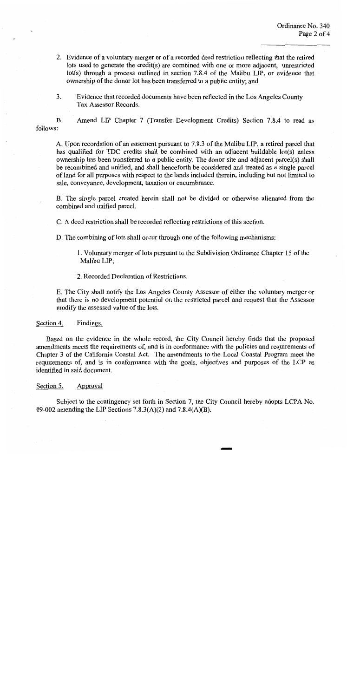- 2. Evidence of a voluntary merger or of a recorded deed restriction reflecting that the retired lots used to generate the credit(s) are combined with one or more adjacent, unrestricted lot(s) through a process outlined in section 7.8.4 of the Malibu LIP, or evidence that ownership of the donor lot has been transferred to a public entity; and
- $3<sub>1</sub>$ Evidence that recorded documents have been reflected in the Los Angeles County Tax Assessor Records.

Amend LIP Chapter 7 (Transfer Development Credits) Section 7.8.4 to read as **B.** follows:

A. Upon recordation of an easement pursuant to 7.8.3 of the Malibu LIP, a retired parcel that has qualified for TDC credits shall be combined with an adjacent buildable lot(s) unless ownership has been transferred to a public entity. The donor site and adjacent parcel(s) shall be recombined and unified, and shall henceforth be considered and treated as a single parcel of land for all purposes with respect to the lands included therein, including but not limited to sale, conveyance, development, taxation or encumbrance.

B. The single parcel created herein shall not be divided or otherwise alienated from the combined and unified parcel.

C. A deed restriction shall be recorded reflecting restrictions of this section.

D. The combining of lots shall occur through one of the following mechanisms:

1. Voluntary merger of lots pursuant to the Subdivision Ordinance Chapter 15 of the Malibu LIP;

2. Recorded Declaration of Restrictions.

E. The City shall notify the Los Angeles County Assessor of either the voluntary merger or that there is no development potential on the restricted parcel and request that the Assessor modify the assessed value of the lots.

Section 4. Findings.

Based on the evidence in the whole record, the City Council hereby finds that the proposed amendments meets the requirements of, and is in conformance with the policies and requirements of Chapter 3 of the California Coastal Act. The amendments to the Local Coastal Program meet the requirements of, and is in conformance with the goals, objectives and purposes of the LCP as identified in said document.

#### Section 5. Approval

Subject to the contingency set forth in Section 7, the City Council hereby adopts LCPA No. 09-002 amending the LIP Sections  $7.8.3(A)(2)$  and  $7.8.4(A)(B)$ .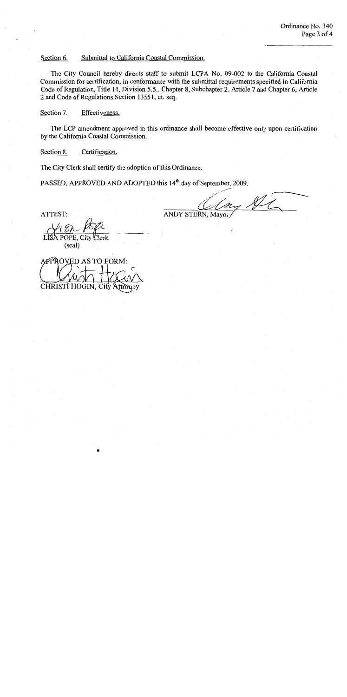Section 6. Submittal to California Coastal Commission.

The City Council hereby directs staff to submit LCPA No. 09-002 to the California Coastal Commission for certification, in conformance with the submittal requirements specified in California Code of Regulation, Title 14, Division 5.5., Chapter 8, Subchapter 2, Article 7 and Chapter 6, Article 2 and Code of Regulations Section 13551, et. seq.

Section 7. Effectiveness.

The LCP amendment approved in this ordinance shall become effective only upon certification by the California Coastal Commission.

Section 8. Certification.

The City Clerk shall certify the adoption of this Ordinance.

PASSED, APPROVED AND ADOPTED this 14<sup>th</sup> day of September, 2009.

ATTEST:

my St **ANDY STERN, Mayor** 

Clerk

City (seal)

**\PPROVED AS TO FORM:** CHRISTI HOGIN,